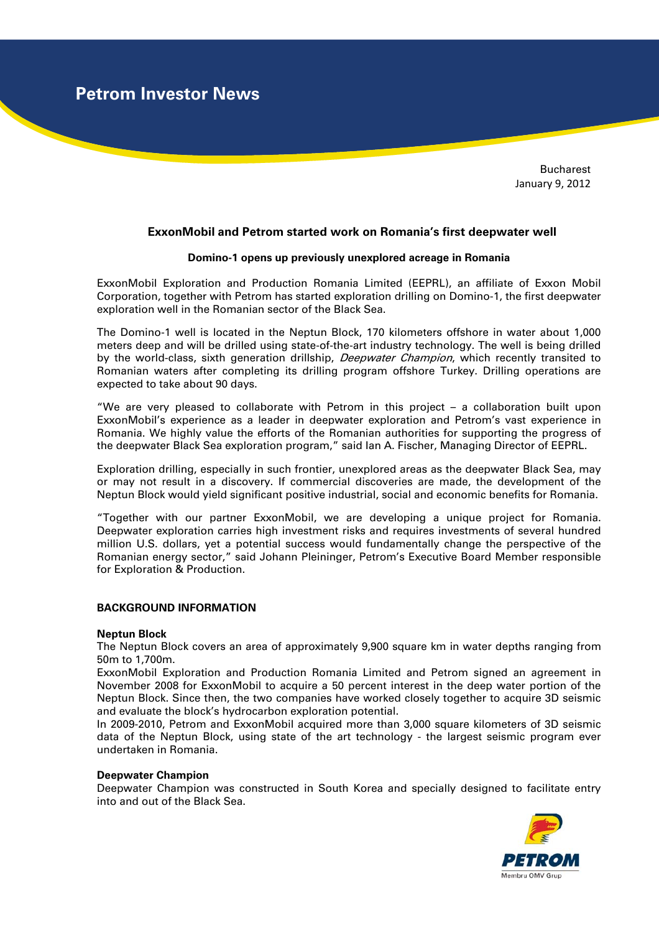**Petrom Investor News**

Bucharest January 9, 2012

# **ExxonMobil and Petrom started work on Romania's first deepwater well**

### **Domino-1 opens up previously unexplored acreage in Romania**

ExxonMobil Exploration and Production Romania Limited (EEPRL), an affiliate of Exxon Mobil Corporation, together with Petrom has started exploration drilling on Domino-1, the first deepwater exploration well in the Romanian sector of the Black Sea.

The Domino-1 well is located in the Neptun Block, 170 kilometers offshore in water about 1,000 meters deep and will be drilled using state-of-the-art industry technology. The well is being drilled by the world-class, sixth generation drillship, Deepwater Champion, which recently transited to Romanian waters after completing its drilling program offshore Turkey. Drilling operations are expected to take about 90 days.

"We are very pleased to collaborate with Petrom in this project – a collaboration built upon ExxonMobil's experience as a leader in deepwater exploration and Petrom's vast experience in Romania. We highly value the efforts of the Romanian authorities for supporting the progress of the deepwater Black Sea exploration program," said Ian A. Fischer, Managing Director of EEPRL.

Exploration drilling, especially in such frontier, unexplored areas as the deepwater Black Sea, may or may not result in a discovery. If commercial discoveries are made, the development of the Neptun Block would yield significant positive industrial, social and economic benefits for Romania.

"Together with our partner ExxonMobil, we are developing a unique project for Romania. Deepwater exploration carries high investment risks and requires investments of several hundred million U.S. dollars, yet a potential success would fundamentally change the perspective of the Romanian energy sector," said Johann Pleininger, Petrom's Executive Board Member responsible for Exploration & Production.

## **BACKGROUND INFORMATION**

#### **Neptun Block**

The Neptun Block covers an area of approximately 9,900 square km in water depths ranging from 50m to 1,700m.

ExxonMobil Exploration and Production Romania Limited and Petrom signed an agreement in November 2008 for ExxonMobil to acquire a 50 percent interest in the deep water portion of the Neptun Block. Since then, the two companies have worked closely together to acquire 3D seismic and evaluate the block's hydrocarbon exploration potential.

In 2009-2010, Petrom and ExxonMobil acquired more than 3,000 square kilometers of 3D seismic data of the Neptun Block, using state of the art technology - the largest seismic program ever undertaken in Romania.

#### **Deepwater Champion**

Deepwater Champion was constructed in South Korea and specially designed to facilitate entry into and out of the Black Sea.